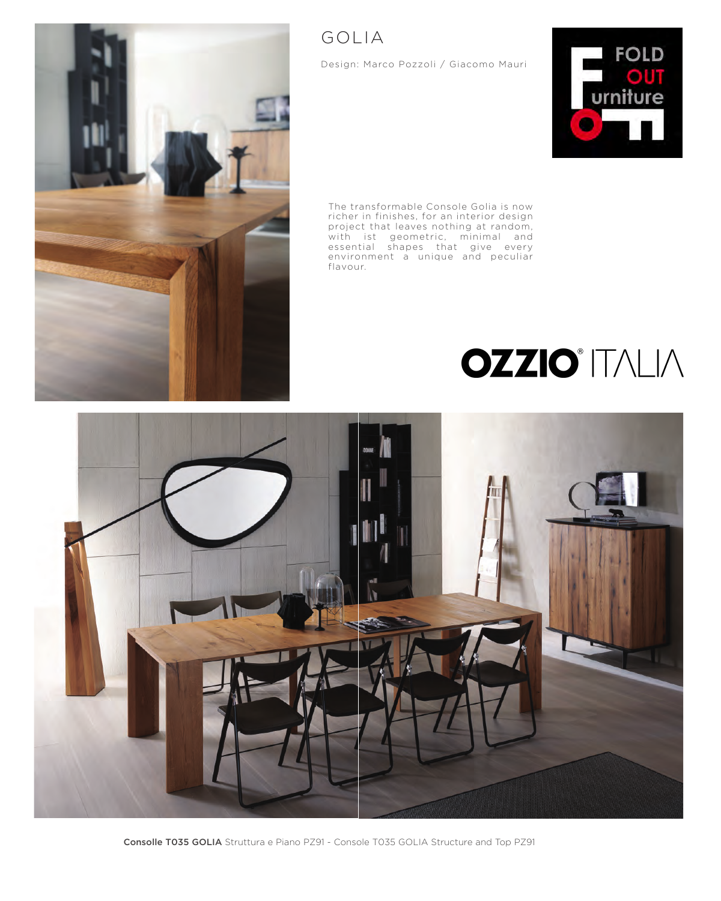

Design: Marco Pozzoli / Giacomo Mauri



The transformable Console Golia is now richer in finishes, for an interior design project that leaves nothing at random, with ist geometric, minimal and essential shapes that give every environment a unique and peculiar flavour.

## **OZZIO**<sup>\*</sup> ITALIA

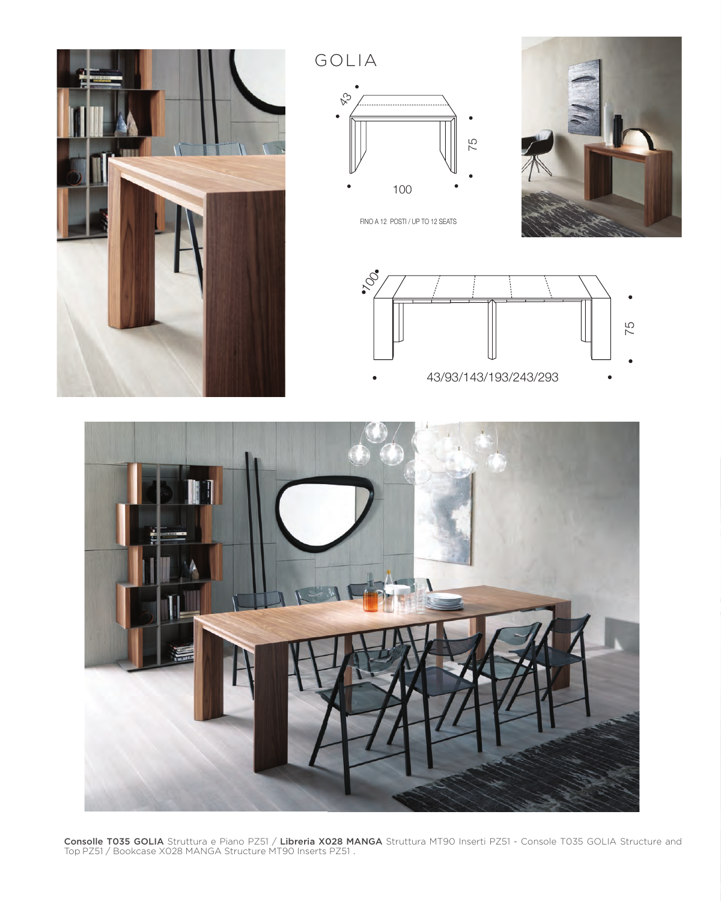

GOLIA



FINO A 12 POSTI / UP TO 12 SEATS







**Consolle T035 GOLIA** Struttura e Piano PZ51 / **Libreria X028 MANGA** Struttura MT90 Inserti PZ51 - Console T035 GOLIA Structure and Top PZ51 / Bookcase X028 MANGA Structure MT90 Inserts PZ51 .